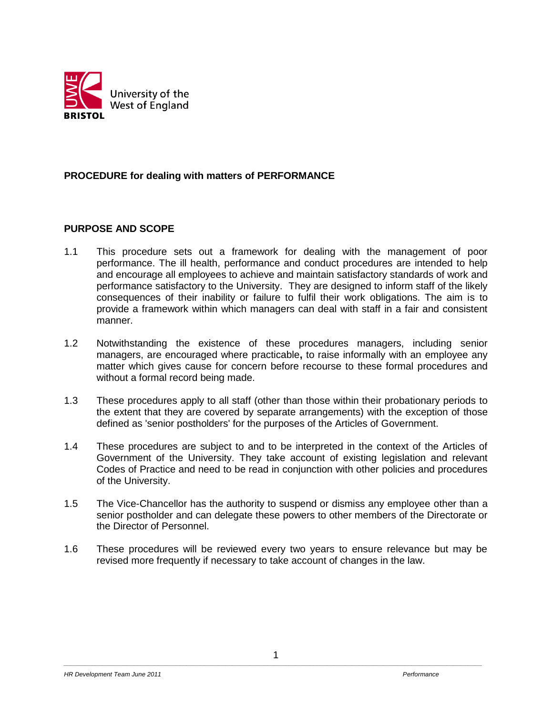

#### **PROCEDURE for dealing with matters of PERFORMANCE**

#### **PURPOSE AND SCOPE**

- 1.1 This procedure sets out a framework for dealing with the management of poor performance. The ill health, performance and conduct procedures are intended to help and encourage all employees to achieve and maintain satisfactory standards of work and performance satisfactory to the University. They are designed to inform staff of the likely consequences of their inability or failure to fulfil their work obligations. The aim is to provide a framework within which managers can deal with staff in a fair and consistent manner.
- 1.2 Notwithstanding the existence of these procedures managers, including senior managers, are encouraged where practicable**,** to raise informally with an employee any matter which gives cause for concern before recourse to these formal procedures and without a formal record being made.
- 1.3 These procedures apply to all staff (other than those within their probationary periods to the extent that they are covered by separate arrangements) with the exception of those defined as 'senior postholders' for the purposes of the Articles of Government.
- 1.4 These procedures are subject to and to be interpreted in the context of the Articles of Government of the University. They take account of existing legislation and relevant Codes of Practice and need to be read in conjunction with other policies and procedures of the University.
- 1.5 The Vice-Chancellor has the authority to suspend or dismiss any employee other than a senior postholder and can delegate these powers to other members of the Directorate or the Director of Personnel.
- 1.6 These procedures will be reviewed every two years to ensure relevance but may be revised more frequently if necessary to take account of changes in the law.

1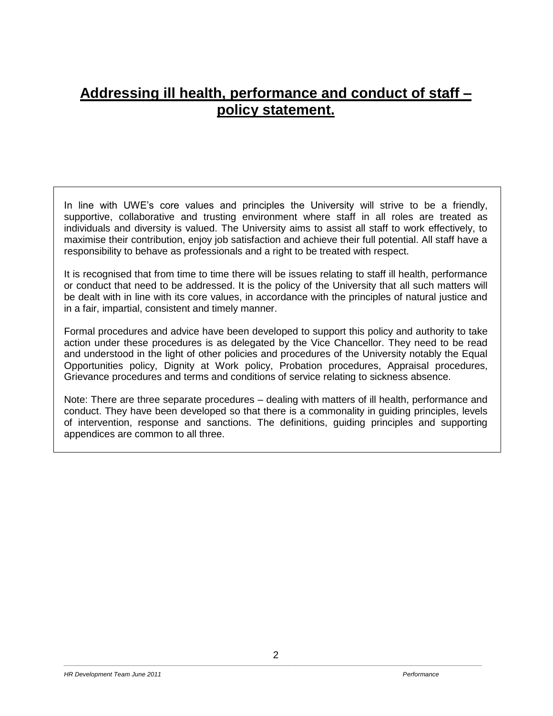# **Addressing ill health, performance and conduct of staff – policy statement.**

In line with UWE's core values and principles the University will strive to be a friendly, supportive, collaborative and trusting environment where staff in all roles are treated as individuals and diversity is valued. The University aims to assist all staff to work effectively, to maximise their contribution, enjoy job satisfaction and achieve their full potential. All staff have a responsibility to behave as professionals and a right to be treated with respect.

It is recognised that from time to time there will be issues relating to staff ill health, performance or conduct that need to be addressed. It is the policy of the University that all such matters will be dealt with in line with its core values, in accordance with the principles of natural justice and in a fair, impartial, consistent and timely manner.

Formal procedures and advice have been developed to support this policy and authority to take action under these procedures is as delegated by the Vice Chancellor. They need to be read and understood in the light of other policies and procedures of the University notably the Equal Opportunities policy, Dignity at Work policy, Probation procedures, Appraisal procedures, Grievance procedures and terms and conditions of service relating to sickness absence.

Note: There are three separate procedures – dealing with matters of ill health, performance and conduct. They have been developed so that there is a commonality in guiding principles, levels of intervention, response and sanctions. The definitions, guiding principles and supporting appendices are common to all three.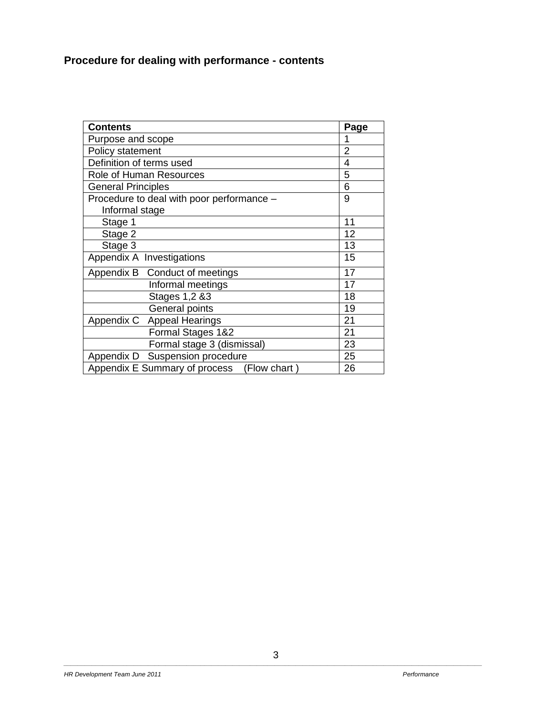# **Procedure for dealing with performance - contents**

| <b>Contents</b>                               | Page |
|-----------------------------------------------|------|
| Purpose and scope                             |      |
| Policy statement                              | 2    |
| Definition of terms used                      | 4    |
| Role of Human Resources                       | 5    |
| <b>General Principles</b>                     | 6    |
| Procedure to deal with poor performance -     | 9    |
| Informal stage                                |      |
| Stage 1                                       | 11   |
| Stage 2                                       | 12   |
| Stage 3                                       | 13   |
| Appendix A Investigations                     | 15   |
| Appendix B Conduct of meetings                | 17   |
| Informal meetings                             | 17   |
| Stages 1,2 &3                                 | 18   |
| General points                                | 19   |
| Appendix C Appeal Hearings                    | 21   |
| Formal Stages 1&2                             | 21   |
| Formal stage 3 (dismissal)                    | 23   |
| Suspension procedure<br>Appendix D            | 25   |
| Appendix E Summary of process<br>(Flow chart) | 26   |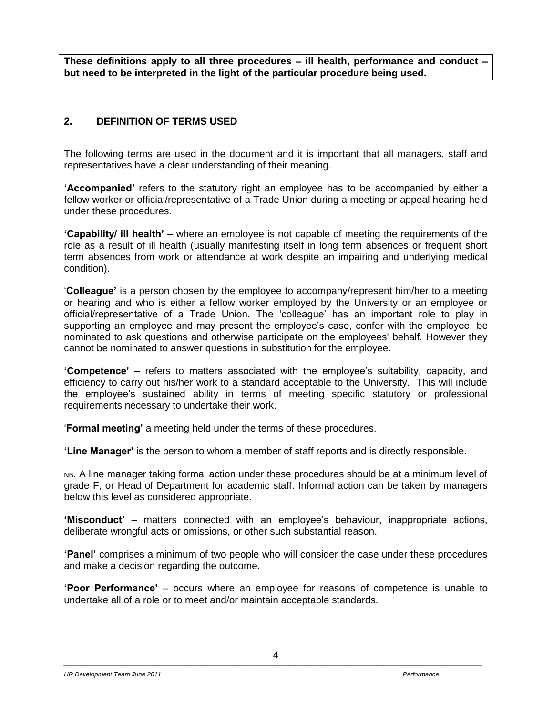**These definitions apply to all three procedures – ill health, performance and conduct – but need to be interpreted in the light of the particular procedure being used.**

# **2. DEFINITION OF TERMS USED**

The following terms are used in the document and it is important that all managers, staff and representatives have a clear understanding of their meaning.

**'Accompanied'** refers to the statutory right an employee has to be accompanied by either a fellow worker or official/representative of a Trade Union during a meeting or appeal hearing held under these procedures.

**'Capability/ ill health'** – where an employee is not capable of meeting the requirements of the role as a result of ill health (usually manifesting itself in long term absences or frequent short term absences from work or attendance at work despite an impairing and underlying medical condition).

'**Colleague'** is a person chosen by the employee to accompany/represent him/her to a meeting or hearing and who is either a fellow worker employed by the University or an employee or official/representative of a Trade Union. The 'colleague' has an important role to play in supporting an employee and may present the employee's case, confer with the employee, be nominated to ask questions and otherwise participate on the employees' behalf. However they cannot be nominated to answer questions in substitution for the employee.

**'Competence'** – refers to matters associated with the employee's suitability, capacity, and efficiency to carry out his/her work to a standard acceptable to the University. This will include the employee's sustained ability in terms of meeting specific statutory or professional requirements necessary to undertake their work.

'**Formal meeting'** a meeting held under the terms of these procedures.

**'Line Manager'** is the person to whom a member of staff reports and is directly responsible.

NB. A line manager taking formal action under these procedures should be at a minimum level of grade F, or Head of Department for academic staff. Informal action can be taken by managers below this level as considered appropriate.

**'Misconduct'** – matters connected with an employee's behaviour, inappropriate actions, deliberate wrongful acts or omissions, or other such substantial reason.

**'Panel'** comprises a minimum of two people who will consider the case under these procedures and make a decision regarding the outcome.

**'Poor Performance'** – occurs where an employee for reasons of competence is unable to undertake all of a role or to meet and/or maintain acceptable standards.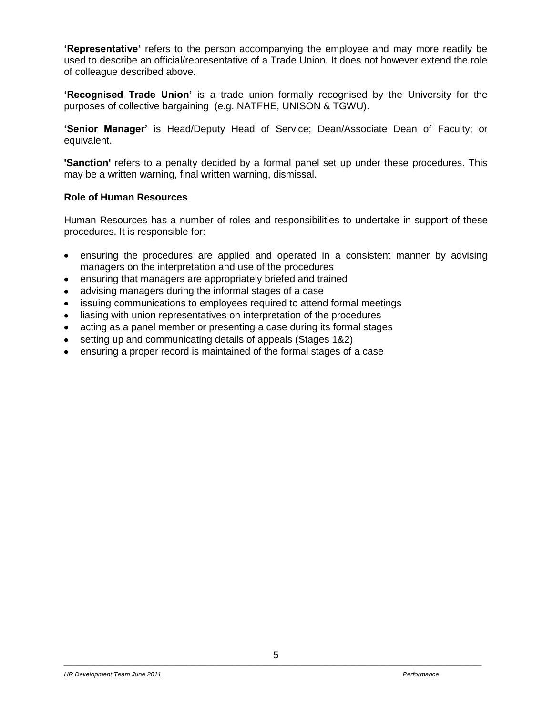**'Representative'** refers to the person accompanying the employee and may more readily be used to describe an official/representative of a Trade Union. It does not however extend the role of colleague described above.

**'Recognised Trade Union'** is a trade union formally recognised by the University for the purposes of collective bargaining (e.g. NATFHE, UNISON & TGWU).

**'Senior Manager'** is Head/Deputy Head of Service; Dean/Associate Dean of Faculty; or equivalent.

**'Sanction'** refers to a penalty decided by a formal panel set up under these procedures. This may be a written warning, final written warning, dismissal.

#### **Role of Human Resources**

Human Resources has a number of roles and responsibilities to undertake in support of these procedures. It is responsible for:

- ensuring the procedures are applied and operated in a consistent manner by advising  $\bullet$ managers on the interpretation and use of the procedures
- ensuring that managers are appropriately briefed and trained
- advising managers during the informal stages of a case
- issuing communications to employees required to attend formal meetings
- liasing with union representatives on interpretation of the procedures
- acting as a panel member or presenting a case during its formal stages
- setting up and communicating details of appeals (Stages 1&2)  $\bullet$
- ensuring a proper record is maintained of the formal stages of a case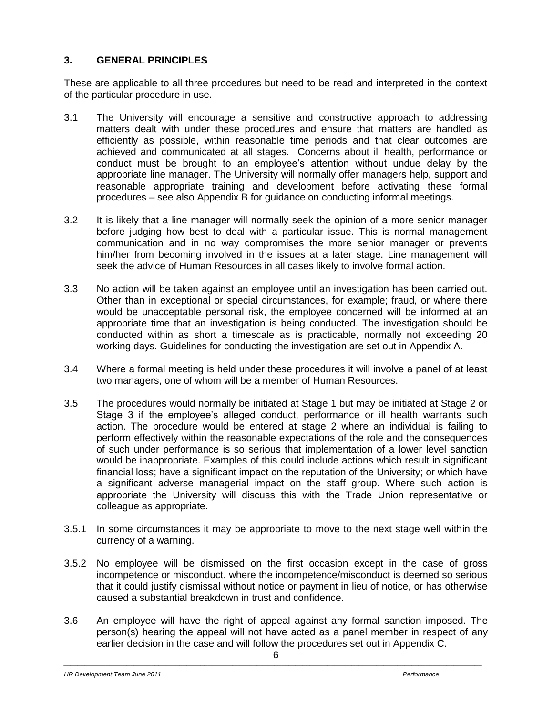## **3. GENERAL PRINCIPLES**

These are applicable to all three procedures but need to be read and interpreted in the context of the particular procedure in use.

- 3.1 The University will encourage a sensitive and constructive approach to addressing matters dealt with under these procedures and ensure that matters are handled as efficiently as possible, within reasonable time periods and that clear outcomes are achieved and communicated at all stages. Concerns about ill health, performance or conduct must be brought to an employee's attention without undue delay by the appropriate line manager. The University will normally offer managers help, support and reasonable appropriate training and development before activating these formal procedures – see also Appendix B for guidance on conducting informal meetings.
- 3.2 It is likely that a line manager will normally seek the opinion of a more senior manager before judging how best to deal with a particular issue. This is normal management communication and in no way compromises the more senior manager or prevents him/her from becoming involved in the issues at a later stage. Line management will seek the advice of Human Resources in all cases likely to involve formal action.
- 3.3 No action will be taken against an employee until an investigation has been carried out. Other than in exceptional or special circumstances, for example; fraud, or where there would be unacceptable personal risk, the employee concerned will be informed at an appropriate time that an investigation is being conducted. The investigation should be conducted within as short a timescale as is practicable, normally not exceeding 20 working days. Guidelines for conducting the investigation are set out in Appendix A.
- 3.4 Where a formal meeting is held under these procedures it will involve a panel of at least two managers, one of whom will be a member of Human Resources.
- 3.5 The procedures would normally be initiated at Stage 1 but may be initiated at Stage 2 or Stage 3 if the employee's alleged conduct, performance or ill health warrants such action. The procedure would be entered at stage 2 where an individual is failing to perform effectively within the reasonable expectations of the role and the consequences of such under performance is so serious that implementation of a lower level sanction would be inappropriate. Examples of this could include actions which result in significant financial loss; have a significant impact on the reputation of the University; or which have a significant adverse managerial impact on the staff group. Where such action is appropriate the University will discuss this with the Trade Union representative or colleague as appropriate.
- 3.5.1 In some circumstances it may be appropriate to move to the next stage well within the currency of a warning.
- 3.5.2 No employee will be dismissed on the first occasion except in the case of gross incompetence or misconduct, where the incompetence/misconduct is deemed so serious that it could justify dismissal without notice or payment in lieu of notice, or has otherwise caused a substantial breakdown in trust and confidence.
- 3.6 An employee will have the right of appeal against any formal sanction imposed. The person(s) hearing the appeal will not have acted as a panel member in respect of any earlier decision in the case and will follow the procedures set out in Appendix C.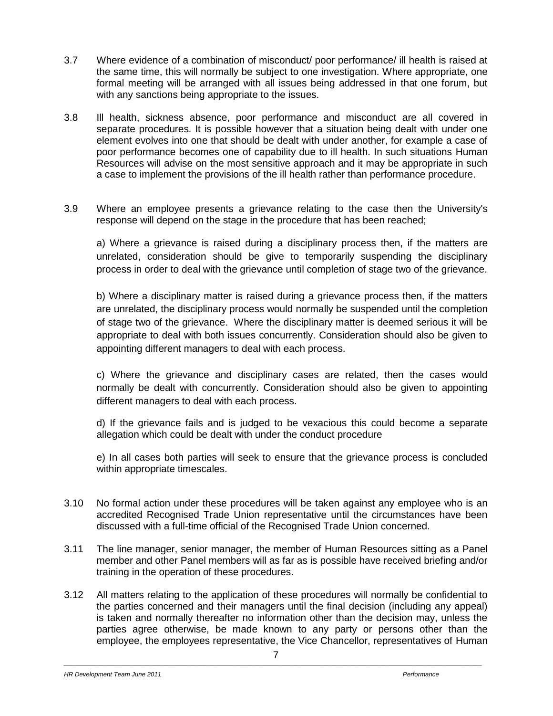- 3.7 Where evidence of a combination of misconduct/ poor performance/ ill health is raised at the same time, this will normally be subject to one investigation. Where appropriate, one formal meeting will be arranged with all issues being addressed in that one forum, but with any sanctions being appropriate to the issues.
- 3.8 Ill health, sickness absence, poor performance and misconduct are all covered in separate procedures. It is possible however that a situation being dealt with under one element evolves into one that should be dealt with under another, for example a case of poor performance becomes one of capability due to ill health. In such situations Human Resources will advise on the most sensitive approach and it may be appropriate in such a case to implement the provisions of the ill health rather than performance procedure.
- 3.9 Where an employee presents a grievance relating to the case then the University's response will depend on the stage in the procedure that has been reached;

a) Where a grievance is raised during a disciplinary process then, if the matters are unrelated, consideration should be give to temporarily suspending the disciplinary process in order to deal with the grievance until completion of stage two of the grievance.

b) Where a disciplinary matter is raised during a grievance process then, if the matters are unrelated, the disciplinary process would normally be suspended until the completion of stage two of the grievance. Where the disciplinary matter is deemed serious it will be appropriate to deal with both issues concurrently. Consideration should also be given to appointing different managers to deal with each process.

c) Where the grievance and disciplinary cases are related, then the cases would normally be dealt with concurrently. Consideration should also be given to appointing different managers to deal with each process.

d) If the grievance fails and is judged to be vexacious this could become a separate allegation which could be dealt with under the conduct procedure

e) In all cases both parties will seek to ensure that the grievance process is concluded within appropriate timescales.

- 3.10 No formal action under these procedures will be taken against any employee who is an accredited Recognised Trade Union representative until the circumstances have been discussed with a full-time official of the Recognised Trade Union concerned.
- 3.11 The line manager, senior manager, the member of Human Resources sitting as a Panel member and other Panel members will as far as is possible have received briefing and/or training in the operation of these procedures.
- 3.12 All matters relating to the application of these procedures will normally be confidential to the parties concerned and their managers until the final decision (including any appeal) is taken and normally thereafter no information other than the decision may, unless the parties agree otherwise, be made known to any party or persons other than the employee, the employees representative, the Vice Chancellor, representatives of Human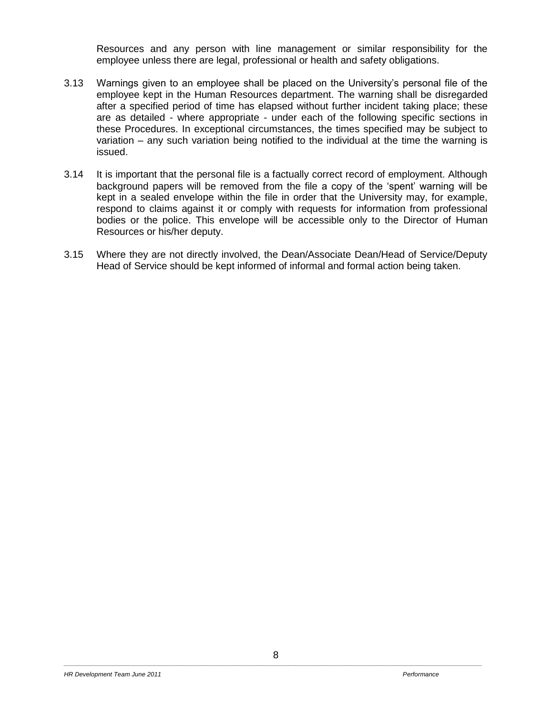Resources and any person with line management or similar responsibility for the employee unless there are legal, professional or health and safety obligations.

- 3.13 Warnings given to an employee shall be placed on the University's personal file of the employee kept in the Human Resources department. The warning shall be disregarded after a specified period of time has elapsed without further incident taking place; these are as detailed - where appropriate - under each of the following specific sections in these Procedures. In exceptional circumstances, the times specified may be subject to variation – any such variation being notified to the individual at the time the warning is issued.
- 3.14 It is important that the personal file is a factually correct record of employment. Although background papers will be removed from the file a copy of the 'spent' warning will be kept in a sealed envelope within the file in order that the University may, for example, respond to claims against it or comply with requests for information from professional bodies or the police. This envelope will be accessible only to the Director of Human Resources or his/her deputy.
- 3.15 Where they are not directly involved, the Dean/Associate Dean/Head of Service/Deputy Head of Service should be kept informed of informal and formal action being taken.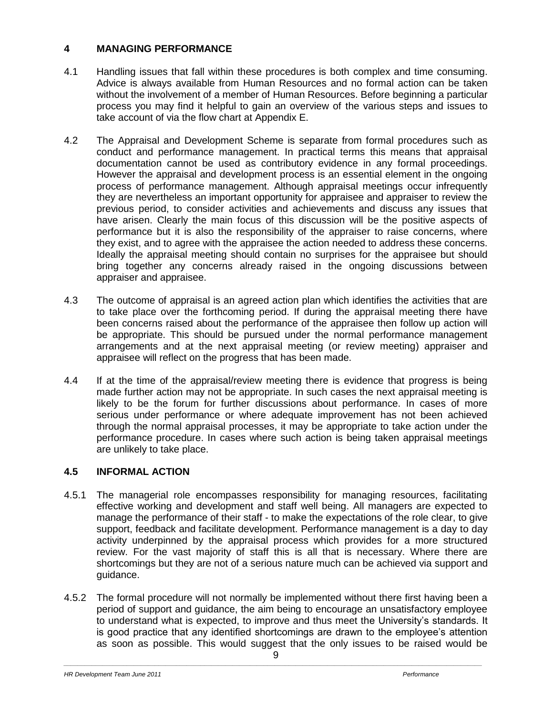# **4 MANAGING PERFORMANCE**

- 4.1 Handling issues that fall within these procedures is both complex and time consuming. Advice is always available from Human Resources and no formal action can be taken without the involvement of a member of Human Resources. Before beginning a particular process you may find it helpful to gain an overview of the various steps and issues to take account of via the flow chart at Appendix E.
- 4.2 The Appraisal and Development Scheme is separate from formal procedures such as conduct and performance management. In practical terms this means that appraisal documentation cannot be used as contributory evidence in any formal proceedings. However the appraisal and development process is an essential element in the ongoing process of performance management. Although appraisal meetings occur infrequently they are nevertheless an important opportunity for appraisee and appraiser to review the previous period, to consider activities and achievements and discuss any issues that have arisen. Clearly the main focus of this discussion will be the positive aspects of performance but it is also the responsibility of the appraiser to raise concerns, where they exist, and to agree with the appraisee the action needed to address these concerns. Ideally the appraisal meeting should contain no surprises for the appraisee but should bring together any concerns already raised in the ongoing discussions between appraiser and appraisee.
- 4.3 The outcome of appraisal is an agreed action plan which identifies the activities that are to take place over the forthcoming period. If during the appraisal meeting there have been concerns raised about the performance of the appraisee then follow up action will be appropriate. This should be pursued under the normal performance management arrangements and at the next appraisal meeting (or review meeting) appraiser and appraisee will reflect on the progress that has been made.
- 4.4 If at the time of the appraisal/review meeting there is evidence that progress is being made further action may not be appropriate. In such cases the next appraisal meeting is likely to be the forum for further discussions about performance. In cases of more serious under performance or where adequate improvement has not been achieved through the normal appraisal processes, it may be appropriate to take action under the performance procedure. In cases where such action is being taken appraisal meetings are unlikely to take place.

# **4.5 INFORMAL ACTION**

- 4.5.1 The managerial role encompasses responsibility for managing resources, facilitating effective working and development and staff well being. All managers are expected to manage the performance of their staff - to make the expectations of the role clear, to give support, feedback and facilitate development. Performance management is a day to day activity underpinned by the appraisal process which provides for a more structured review. For the vast majority of staff this is all that is necessary. Where there are shortcomings but they are not of a serious nature much can be achieved via support and guidance.
- 4.5.2 The formal procedure will not normally be implemented without there first having been a period of support and guidance, the aim being to encourage an unsatisfactory employee to understand what is expected, to improve and thus meet the University's standards. It is good practice that any identified shortcomings are drawn to the employee's attention as soon as possible. This would suggest that the only issues to be raised would be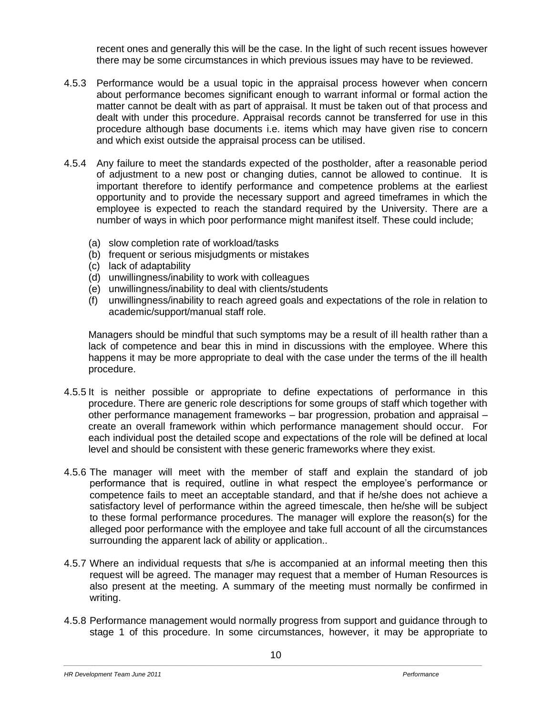recent ones and generally this will be the case. In the light of such recent issues however there may be some circumstances in which previous issues may have to be reviewed.

- 4.5.3 Performance would be a usual topic in the appraisal process however when concern about performance becomes significant enough to warrant informal or formal action the matter cannot be dealt with as part of appraisal. It must be taken out of that process and dealt with under this procedure. Appraisal records cannot be transferred for use in this procedure although base documents i.e. items which may have given rise to concern and which exist outside the appraisal process can be utilised.
- 4.5.4 Any failure to meet the standards expected of the postholder, after a reasonable period of adjustment to a new post or changing duties, cannot be allowed to continue. It is important therefore to identify performance and competence problems at the earliest opportunity and to provide the necessary support and agreed timeframes in which the employee is expected to reach the standard required by the University. There are a number of ways in which poor performance might manifest itself. These could include;
	- (a) slow completion rate of workload/tasks
	- (b) frequent or serious misjudgments or mistakes
	- (c) lack of adaptability
	- (d) unwillingness/inability to work with colleagues
	- (e) unwillingness/inability to deal with clients/students
	- (f) unwillingness/inability to reach agreed goals and expectations of the role in relation to academic/support/manual staff role.

Managers should be mindful that such symptoms may be a result of ill health rather than a lack of competence and bear this in mind in discussions with the employee. Where this happens it may be more appropriate to deal with the case under the terms of the ill health procedure.

- 4.5.5 It is neither possible or appropriate to define expectations of performance in this procedure. There are generic role descriptions for some groups of staff which together with other performance management frameworks – bar progression, probation and appraisal – create an overall framework within which performance management should occur. For each individual post the detailed scope and expectations of the role will be defined at local level and should be consistent with these generic frameworks where they exist.
- 4.5.6 The manager will meet with the member of staff and explain the standard of job performance that is required, outline in what respect the employee's performance or competence fails to meet an acceptable standard, and that if he/she does not achieve a satisfactory level of performance within the agreed timescale, then he/she will be subject to these formal performance procedures. The manager will explore the reason(s) for the alleged poor performance with the employee and take full account of all the circumstances surrounding the apparent lack of ability or application..
- 4.5.7 Where an individual requests that s/he is accompanied at an informal meeting then this request will be agreed. The manager may request that a member of Human Resources is also present at the meeting. A summary of the meeting must normally be confirmed in writing.
- 4.5.8 Performance management would normally progress from support and guidance through to stage 1 of this procedure. In some circumstances, however, it may be appropriate to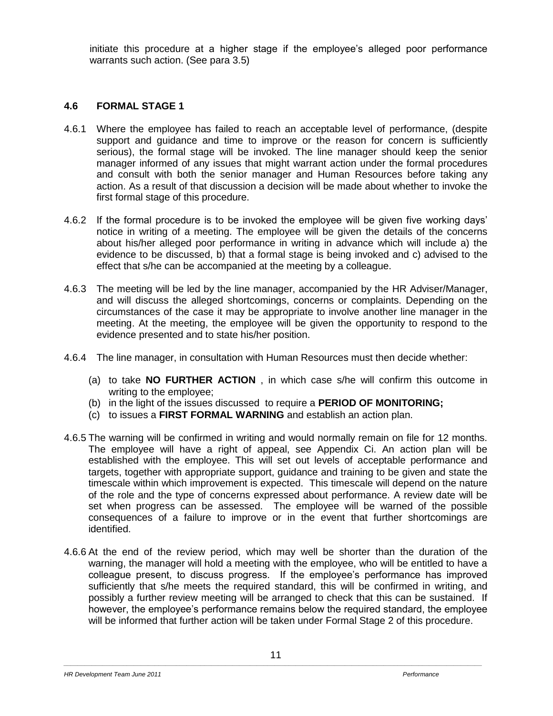initiate this procedure at a higher stage if the employee's alleged poor performance warrants such action. (See para 3.5)

## **4.6 FORMAL STAGE 1**

- 4.6.1 Where the employee has failed to reach an acceptable level of performance, (despite support and guidance and time to improve or the reason for concern is sufficiently serious), the formal stage will be invoked. The line manager should keep the senior manager informed of any issues that might warrant action under the formal procedures and consult with both the senior manager and Human Resources before taking any action. As a result of that discussion a decision will be made about whether to invoke the first formal stage of this procedure.
- 4.6.2 If the formal procedure is to be invoked the employee will be given five working days' notice in writing of a meeting. The employee will be given the details of the concerns about his/her alleged poor performance in writing in advance which will include a) the evidence to be discussed, b) that a formal stage is being invoked and c) advised to the effect that s/he can be accompanied at the meeting by a colleague.
- 4.6.3 The meeting will be led by the line manager, accompanied by the HR Adviser/Manager, and will discuss the alleged shortcomings, concerns or complaints. Depending on the circumstances of the case it may be appropriate to involve another line manager in the meeting. At the meeting, the employee will be given the opportunity to respond to the evidence presented and to state his/her position.
- 4.6.4 The line manager, in consultation with Human Resources must then decide whether:
	- (a) to take **NO FURTHER ACTION** , in which case s/he will confirm this outcome in writing to the employee;
	- (b) in the light of the issues discussed to require a **PERIOD OF MONITORING;**
	- (c) to issues a **FIRST FORMAL WARNING** and establish an action plan.
- 4.6.5 The warning will be confirmed in writing and would normally remain on file for 12 months. The employee will have a right of appeal, see Appendix Ci. An action plan will be established with the employee. This will set out levels of acceptable performance and targets, together with appropriate support, guidance and training to be given and state the timescale within which improvement is expected. This timescale will depend on the nature of the role and the type of concerns expressed about performance. A review date will be set when progress can be assessed. The employee will be warned of the possible consequences of a failure to improve or in the event that further shortcomings are identified.
- 4.6.6 At the end of the review period, which may well be shorter than the duration of the warning, the manager will hold a meeting with the employee, who will be entitled to have a colleague present, to discuss progress. If the employee's performance has improved sufficiently that s/he meets the required standard, this will be confirmed in writing, and possibly a further review meeting will be arranged to check that this can be sustained. If however, the employee's performance remains below the required standard, the employee will be informed that further action will be taken under Formal Stage 2 of this procedure.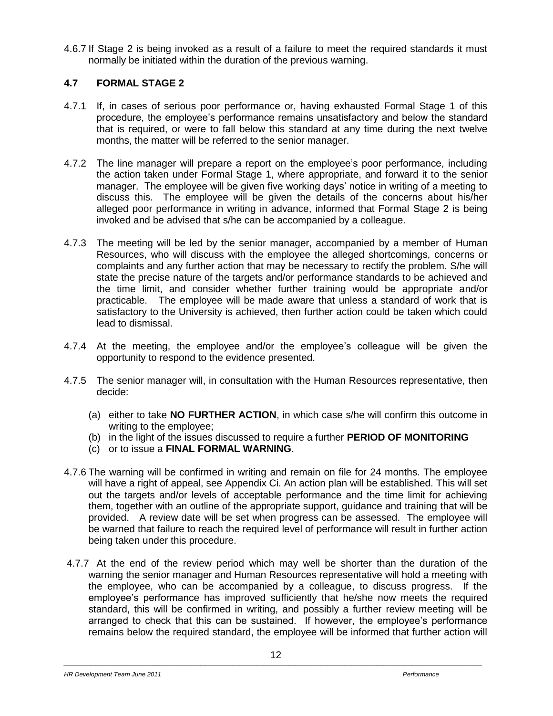4.6.7 If Stage 2 is being invoked as a result of a failure to meet the required standards it must normally be initiated within the duration of the previous warning.

# **4.7 FORMAL STAGE 2**

- 4.7.1 If, in cases of serious poor performance or, having exhausted Formal Stage 1 of this procedure, the employee's performance remains unsatisfactory and below the standard that is required, or were to fall below this standard at any time during the next twelve months, the matter will be referred to the senior manager.
- 4.7.2 The line manager will prepare a report on the employee's poor performance, including the action taken under Formal Stage 1, where appropriate, and forward it to the senior manager. The employee will be given five working days' notice in writing of a meeting to discuss this. The employee will be given the details of the concerns about his/her alleged poor performance in writing in advance, informed that Formal Stage 2 is being invoked and be advised that s/he can be accompanied by a colleague.
- 4.7.3 The meeting will be led by the senior manager, accompanied by a member of Human Resources, who will discuss with the employee the alleged shortcomings, concerns or complaints and any further action that may be necessary to rectify the problem. S/he will state the precise nature of the targets and/or performance standards to be achieved and the time limit, and consider whether further training would be appropriate and/or practicable. The employee will be made aware that unless a standard of work that is satisfactory to the University is achieved, then further action could be taken which could lead to dismissal.
- 4.7.4 At the meeting, the employee and/or the employee's colleague will be given the opportunity to respond to the evidence presented.
- 4.7.5 The senior manager will, in consultation with the Human Resources representative, then decide:
	- (a) either to take **NO FURTHER ACTION**, in which case s/he will confirm this outcome in writing to the employee;
	- (b) in the light of the issues discussed to require a further **PERIOD OF MONITORING**
	- (c) or to issue a **FINAL FORMAL WARNING**.
- 4.7.6 The warning will be confirmed in writing and remain on file for 24 months. The employee will have a right of appeal, see Appendix Ci. An action plan will be established. This will set out the targets and/or levels of acceptable performance and the time limit for achieving them, together with an outline of the appropriate support, guidance and training that will be provided. A review date will be set when progress can be assessed. The employee will be warned that failure to reach the required level of performance will result in further action being taken under this procedure.
- 4.7.7 At the end of the review period which may well be shorter than the duration of the warning the senior manager and Human Resources representative will hold a meeting with the employee, who can be accompanied by a colleague, to discuss progress. If the employee's performance has improved sufficiently that he/she now meets the required standard, this will be confirmed in writing, and possibly a further review meeting will be arranged to check that this can be sustained. If however, the employee's performance remains below the required standard, the employee will be informed that further action will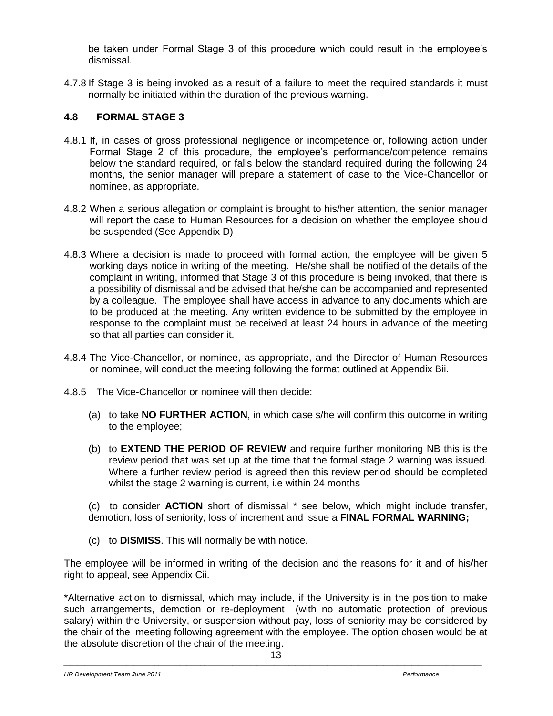be taken under Formal Stage 3 of this procedure which could result in the employee's dismissal.

4.7.8 If Stage 3 is being invoked as a result of a failure to meet the required standards it must normally be initiated within the duration of the previous warning.

# **4.8 FORMAL STAGE 3**

- 4.8.1 If, in cases of gross professional negligence or incompetence or, following action under Formal Stage 2 of this procedure, the employee's performance/competence remains below the standard required, or falls below the standard required during the following 24 months, the senior manager will prepare a statement of case to the Vice-Chancellor or nominee, as appropriate.
- 4.8.2 When a serious allegation or complaint is brought to his/her attention, the senior manager will report the case to Human Resources for a decision on whether the employee should be suspended (See Appendix D)
- 4.8.3 Where a decision is made to proceed with formal action, the employee will be given 5 working days notice in writing of the meeting. He/she shall be notified of the details of the complaint in writing, informed that Stage 3 of this procedure is being invoked, that there is a possibility of dismissal and be advised that he/she can be accompanied and represented by a colleague. The employee shall have access in advance to any documents which are to be produced at the meeting. Any written evidence to be submitted by the employee in response to the complaint must be received at least 24 hours in advance of the meeting so that all parties can consider it.
- 4.8.4 The Vice-Chancellor, or nominee, as appropriate, and the Director of Human Resources or nominee, will conduct the meeting following the format outlined at Appendix Bii.
- 4.8.5 The Vice-Chancellor or nominee will then decide:
	- (a) to take **NO FURTHER ACTION**, in which case s/he will confirm this outcome in writing to the employee;
	- (b) to **EXTEND THE PERIOD OF REVIEW** and require further monitoring NB this is the review period that was set up at the time that the formal stage 2 warning was issued. Where a further review period is agreed then this review period should be completed whilst the stage 2 warning is current, i.e within 24 months

(c) to consider **ACTION** short of dismissal \* see below, which might include transfer, demotion, loss of seniority, loss of increment and issue a **FINAL FORMAL WARNING;**

(c) to **DISMISS**. This will normally be with notice.

The employee will be informed in writing of the decision and the reasons for it and of his/her right to appeal, see Appendix Cii.

\*Alternative action to dismissal, which may include, if the University is in the position to make such arrangements, demotion or re-deployment (with no automatic protection of previous salary) within the University, or suspension without pay, loss of seniority may be considered by the chair of the meeting following agreement with the employee. The option chosen would be at the absolute discretion of the chair of the meeting.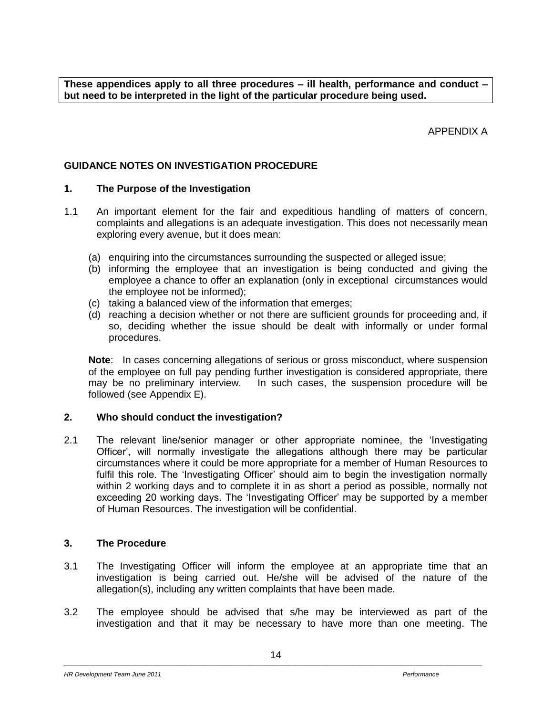**These appendices apply to all three procedures – ill health, performance and conduct – but need to be interpreted in the light of the particular procedure being used.**

APPENDIX A

## **GUIDANCE NOTES ON INVESTIGATION PROCEDURE**

## **1. The Purpose of the Investigation**

- 1.1 An important element for the fair and expeditious handling of matters of concern, complaints and allegations is an adequate investigation. This does not necessarily mean exploring every avenue, but it does mean:
	- (a) enquiring into the circumstances surrounding the suspected or alleged issue;
	- (b) informing the employee that an investigation is being conducted and giving the employee a chance to offer an explanation (only in exceptional circumstances would the employee not be informed);
	- (c) taking a balanced view of the information that emerges;
	- (d) reaching a decision whether or not there are sufficient grounds for proceeding and, if so, deciding whether the issue should be dealt with informally or under formal procedures.

**Note:** In cases concerning allegations of serious or gross misconduct, where suspension of the employee on full pay pending further investigation is considered appropriate, there may be no preliminary interview. In such cases, the suspension procedure will be followed (see Appendix E).

## **2. Who should conduct the investigation?**

2.1 The relevant line/senior manager or other appropriate nominee, the 'Investigating Officer', will normally investigate the allegations although there may be particular circumstances where it could be more appropriate for a member of Human Resources to fulfil this role. The 'Investigating Officer' should aim to begin the investigation normally within 2 working days and to complete it in as short a period as possible, normally not exceeding 20 working days. The 'Investigating Officer' may be supported by a member of Human Resources. The investigation will be confidential.

## **3. The Procedure**

- 3.1 The Investigating Officer will inform the employee at an appropriate time that an investigation is being carried out. He/she will be advised of the nature of the allegation(s), including any written complaints that have been made.
- 3.2 The employee should be advised that s/he may be interviewed as part of the investigation and that it may be necessary to have more than one meeting. The

*HR* Development Team June 2011 **Performance**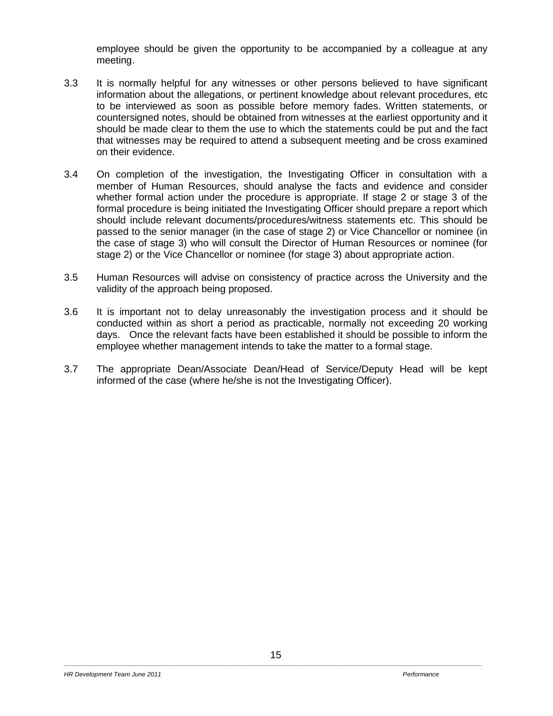employee should be given the opportunity to be accompanied by a colleague at any meeting.

- 3.3 It is normally helpful for any witnesses or other persons believed to have significant information about the allegations, or pertinent knowledge about relevant procedures, etc to be interviewed as soon as possible before memory fades. Written statements, or countersigned notes, should be obtained from witnesses at the earliest opportunity and it should be made clear to them the use to which the statements could be put and the fact that witnesses may be required to attend a subsequent meeting and be cross examined on their evidence.
- 3.4 On completion of the investigation, the Investigating Officer in consultation with a member of Human Resources, should analyse the facts and evidence and consider whether formal action under the procedure is appropriate. If stage 2 or stage 3 of the formal procedure is being initiated the Investigating Officer should prepare a report which should include relevant documents/procedures/witness statements etc. This should be passed to the senior manager (in the case of stage 2) or Vice Chancellor or nominee (in the case of stage 3) who will consult the Director of Human Resources or nominee (for stage 2) or the Vice Chancellor or nominee (for stage 3) about appropriate action.
- 3.5 Human Resources will advise on consistency of practice across the University and the validity of the approach being proposed.
- 3.6 It is important not to delay unreasonably the investigation process and it should be conducted within as short a period as practicable, normally not exceeding 20 working days. Once the relevant facts have been established it should be possible to inform the employee whether management intends to take the matter to a formal stage.
- 3.7 The appropriate Dean/Associate Dean/Head of Service/Deputy Head will be kept informed of the case (where he/she is not the Investigating Officer).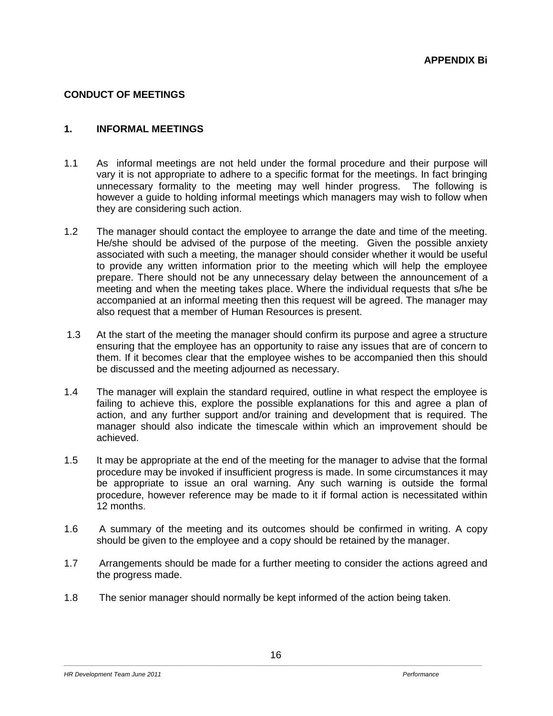## **CONDUCT OF MEETINGS**

## **1. INFORMAL MEETINGS**

- 1.1 As informal meetings are not held under the formal procedure and their purpose will vary it is not appropriate to adhere to a specific format for the meetings. In fact bringing unnecessary formality to the meeting may well hinder progress. The following is however a guide to holding informal meetings which managers may wish to follow when they are considering such action.
- 1.2 The manager should contact the employee to arrange the date and time of the meeting. He/she should be advised of the purpose of the meeting. Given the possible anxiety associated with such a meeting, the manager should consider whether it would be useful to provide any written information prior to the meeting which will help the employee prepare. There should not be any unnecessary delay between the announcement of a meeting and when the meeting takes place. Where the individual requests that s/he be accompanied at an informal meeting then this request will be agreed. The manager may also request that a member of Human Resources is present.
- 1.3 At the start of the meeting the manager should confirm its purpose and agree a structure ensuring that the employee has an opportunity to raise any issues that are of concern to them. If it becomes clear that the employee wishes to be accompanied then this should be discussed and the meeting adjourned as necessary.
- 1.4 The manager will explain the standard required, outline in what respect the employee is failing to achieve this, explore the possible explanations for this and agree a plan of action, and any further support and/or training and development that is required. The manager should also indicate the timescale within which an improvement should be achieved.
- 1.5 It may be appropriate at the end of the meeting for the manager to advise that the formal procedure may be invoked if insufficient progress is made. In some circumstances it may be appropriate to issue an oral warning. Any such warning is outside the formal procedure, however reference may be made to it if formal action is necessitated within 12 months.
- 1.6 A summary of the meeting and its outcomes should be confirmed in writing. A copy should be given to the employee and a copy should be retained by the manager.
- 1.7 Arrangements should be made for a further meeting to consider the actions agreed and the progress made.
- 1.8 The senior manager should normally be kept informed of the action being taken.

**HR** Development Team June 2011 **Performance**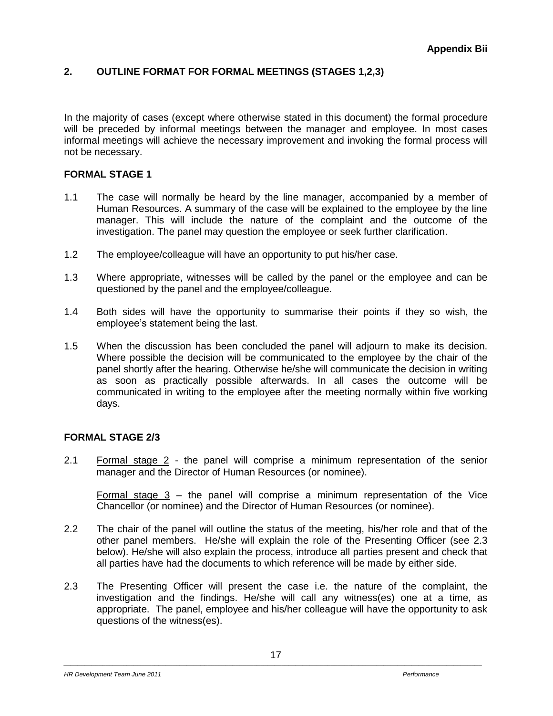# **2. OUTLINE FORMAT FOR FORMAL MEETINGS (STAGES 1,2,3)**

In the majority of cases (except where otherwise stated in this document) the formal procedure will be preceded by informal meetings between the manager and employee. In most cases informal meetings will achieve the necessary improvement and invoking the formal process will not be necessary.

## **FORMAL STAGE 1**

- 1.1 The case will normally be heard by the line manager, accompanied by a member of Human Resources. A summary of the case will be explained to the employee by the line manager. This will include the nature of the complaint and the outcome of the investigation. The panel may question the employee or seek further clarification.
- 1.2 The employee/colleague will have an opportunity to put his/her case.
- 1.3 Where appropriate, witnesses will be called by the panel or the employee and can be questioned by the panel and the employee/colleague.
- 1.4 Both sides will have the opportunity to summarise their points if they so wish, the employee's statement being the last.
- 1.5 When the discussion has been concluded the panel will adjourn to make its decision. Where possible the decision will be communicated to the employee by the chair of the panel shortly after the hearing. Otherwise he/she will communicate the decision in writing as soon as practically possible afterwards. In all cases the outcome will be communicated in writing to the employee after the meeting normally within five working days.

#### **FORMAL STAGE 2/3**

2.1 Formal stage 2 - the panel will comprise a minimum representation of the senior manager and the Director of Human Resources (or nominee).

Formal stage 3 – the panel will comprise a minimum representation of the Vice Chancellor (or nominee) and the Director of Human Resources (or nominee).

- 2.2 The chair of the panel will outline the status of the meeting, his/her role and that of the other panel members. He/she will explain the role of the Presenting Officer (see 2.3 below). He/she will also explain the process, introduce all parties present and check that all parties have had the documents to which reference will be made by either side.
- 2.3 The Presenting Officer will present the case i.e. the nature of the complaint, the investigation and the findings. He/she will call any witness(es) one at a time, as appropriate. The panel, employee and his/her colleague will have the opportunity to ask questions of the witness(es).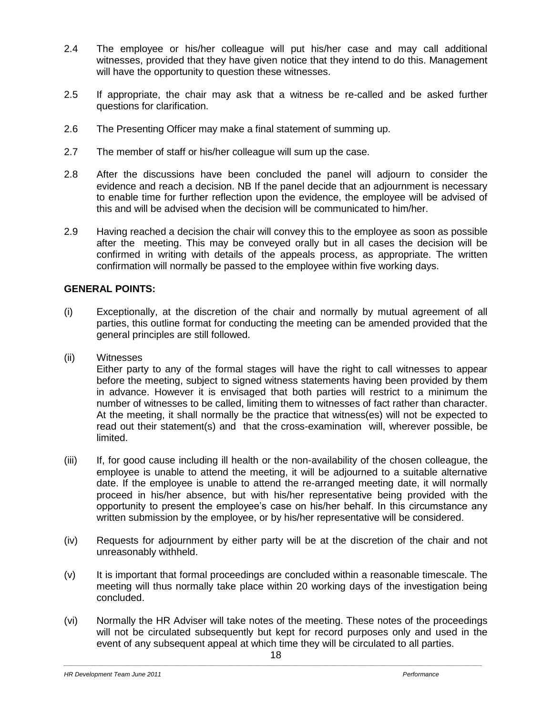- 2.4 The employee or his/her colleague will put his/her case and may call additional witnesses, provided that they have given notice that they intend to do this. Management will have the opportunity to question these witnesses.
- 2.5 If appropriate, the chair may ask that a witness be re-called and be asked further questions for clarification.
- 2.6 The Presenting Officer may make a final statement of summing up.
- 2.7 The member of staff or his/her colleague will sum up the case.
- 2.8 After the discussions have been concluded the panel will adjourn to consider the evidence and reach a decision. NB If the panel decide that an adjournment is necessary to enable time for further reflection upon the evidence, the employee will be advised of this and will be advised when the decision will be communicated to him/her.
- 2.9 Having reached a decision the chair will convey this to the employee as soon as possible after the meeting. This may be conveyed orally but in all cases the decision will be confirmed in writing with details of the appeals process, as appropriate. The written confirmation will normally be passed to the employee within five working days.

#### **GENERAL POINTS:**

- (i) Exceptionally, at the discretion of the chair and normally by mutual agreement of all parties, this outline format for conducting the meeting can be amended provided that the general principles are still followed.
- (ii) Witnesses

Either party to any of the formal stages will have the right to call witnesses to appear before the meeting, subject to signed witness statements having been provided by them in advance. However it is envisaged that both parties will restrict to a minimum the number of witnesses to be called, limiting them to witnesses of fact rather than character. At the meeting, it shall normally be the practice that witness(es) will not be expected to read out their statement(s) and that the cross-examination will, wherever possible, be limited.

- (iii) If, for good cause including ill health or the non-availability of the chosen colleague, the employee is unable to attend the meeting, it will be adjourned to a suitable alternative date. If the employee is unable to attend the re-arranged meeting date, it will normally proceed in his/her absence, but with his/her representative being provided with the opportunity to present the employee's case on his/her behalf. In this circumstance any written submission by the employee, or by his/her representative will be considered.
- (iv) Requests for adjournment by either party will be at the discretion of the chair and not unreasonably withheld.
- (v) It is important that formal proceedings are concluded within a reasonable timescale. The meeting will thus normally take place within 20 working days of the investigation being concluded.
- (vi) Normally the HR Adviser will take notes of the meeting. These notes of the proceedings will not be circulated subsequently but kept for record purposes only and used in the event of any subsequent appeal at which time they will be circulated to all parties.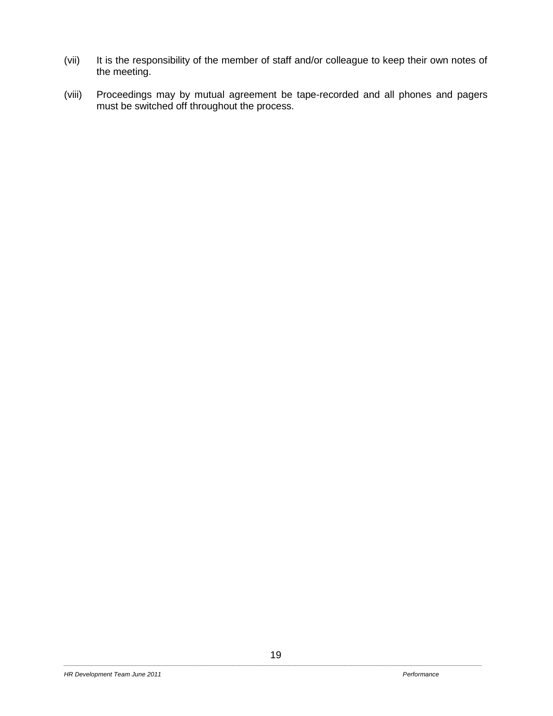- (vii) It is the responsibility of the member of staff and/or colleague to keep their own notes of the meeting.
- (viii) Proceedings may by mutual agreement be tape-recorded and all phones and pagers must be switched off throughout the process.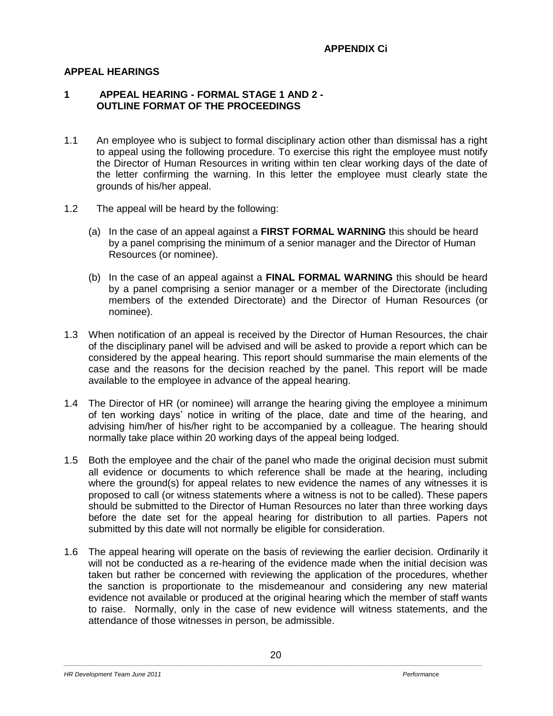## **APPEAL HEARINGS**

### **1 APPEAL HEARING - FORMAL STAGE 1 AND 2 - OUTLINE FORMAT OF THE PROCEEDINGS**

- 1.1 An employee who is subject to formal disciplinary action other than dismissal has a right to appeal using the following procedure. To exercise this right the employee must notify the Director of Human Resources in writing within ten clear working days of the date of the letter confirming the warning. In this letter the employee must clearly state the grounds of his/her appeal.
- 1.2 The appeal will be heard by the following:
	- (a) In the case of an appeal against a **FIRST FORMAL WARNING** this should be heard by a panel comprising the minimum of a senior manager and the Director of Human Resources (or nominee).
	- (b) In the case of an appeal against a **FINAL FORMAL WARNING** this should be heard by a panel comprising a senior manager or a member of the Directorate (including members of the extended Directorate) and the Director of Human Resources (or nominee).
- 1.3 When notification of an appeal is received by the Director of Human Resources, the chair of the disciplinary panel will be advised and will be asked to provide a report which can be considered by the appeal hearing. This report should summarise the main elements of the case and the reasons for the decision reached by the panel. This report will be made available to the employee in advance of the appeal hearing.
- 1.4 The Director of HR (or nominee) will arrange the hearing giving the employee a minimum of ten working days' notice in writing of the place, date and time of the hearing, and advising him/her of his/her right to be accompanied by a colleague. The hearing should normally take place within 20 working days of the appeal being lodged.
- 1.5 Both the employee and the chair of the panel who made the original decision must submit all evidence or documents to which reference shall be made at the hearing, including where the ground(s) for appeal relates to new evidence the names of any witnesses it is proposed to call (or witness statements where a witness is not to be called). These papers should be submitted to the Director of Human Resources no later than three working days before the date set for the appeal hearing for distribution to all parties. Papers not submitted by this date will not normally be eligible for consideration.
- 1.6 The appeal hearing will operate on the basis of reviewing the earlier decision. Ordinarily it will not be conducted as a re-hearing of the evidence made when the initial decision was taken but rather be concerned with reviewing the application of the procedures, whether the sanction is proportionate to the misdemeanour and considering any new material evidence not available or produced at the original hearing which the member of staff wants to raise. Normally, only in the case of new evidence will witness statements, and the attendance of those witnesses in person, be admissible.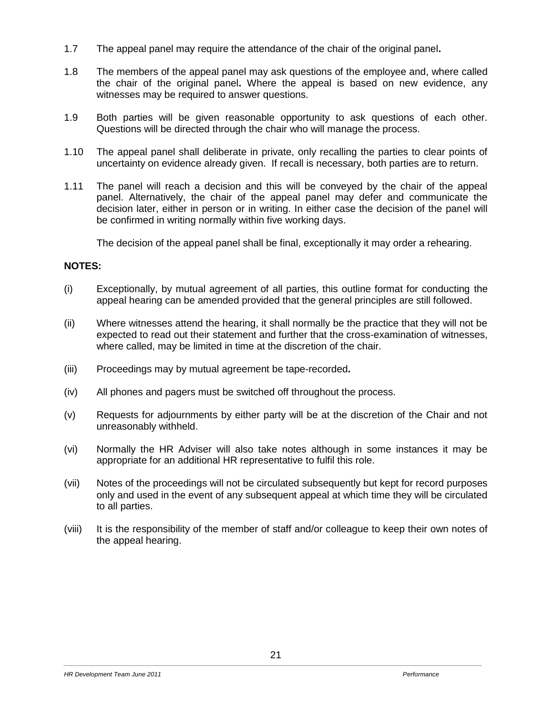- 1.7 The appeal panel may require the attendance of the chair of the original panel**.**
- 1.8 The members of the appeal panel may ask questions of the employee and, where called the chair of the original panel**.** Where the appeal is based on new evidence, any witnesses may be required to answer questions.
- 1.9 Both parties will be given reasonable opportunity to ask questions of each other. Questions will be directed through the chair who will manage the process.
- 1.10 The appeal panel shall deliberate in private, only recalling the parties to clear points of uncertainty on evidence already given. If recall is necessary, both parties are to return.
- 1.11 The panel will reach a decision and this will be conveyed by the chair of the appeal panel. Alternatively, the chair of the appeal panel may defer and communicate the decision later, either in person or in writing. In either case the decision of the panel will be confirmed in writing normally within five working days.

The decision of the appeal panel shall be final, exceptionally it may order a rehearing.

## **NOTES:**

- (i) Exceptionally, by mutual agreement of all parties, this outline format for conducting the appeal hearing can be amended provided that the general principles are still followed.
- (ii) Where witnesses attend the hearing, it shall normally be the practice that they will not be expected to read out their statement and further that the cross-examination of witnesses, where called, may be limited in time at the discretion of the chair.
- (iii) Proceedings may by mutual agreement be tape-recorded**.**
- (iv) All phones and pagers must be switched off throughout the process.
- (v) Requests for adjournments by either party will be at the discretion of the Chair and not unreasonably withheld.
- (vi) Normally the HR Adviser will also take notes although in some instances it may be appropriate for an additional HR representative to fulfil this role.
- (vii) Notes of the proceedings will not be circulated subsequently but kept for record purposes only and used in the event of any subsequent appeal at which time they will be circulated to all parties.
- (viii) It is the responsibility of the member of staff and/or colleague to keep their own notes of the appeal hearing.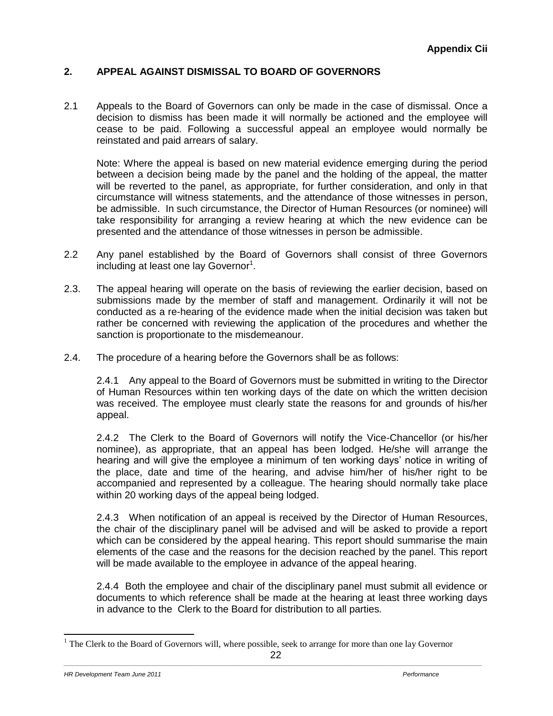## **2. APPEAL AGAINST DISMISSAL TO BOARD OF GOVERNORS**

2.1 Appeals to the Board of Governors can only be made in the case of dismissal. Once a decision to dismiss has been made it will normally be actioned and the employee will cease to be paid. Following a successful appeal an employee would normally be reinstated and paid arrears of salary.

Note: Where the appeal is based on new material evidence emerging during the period between a decision being made by the panel and the holding of the appeal, the matter will be reverted to the panel, as appropriate, for further consideration, and only in that circumstance will witness statements, and the attendance of those witnesses in person, be admissible. In such circumstance, the Director of Human Resources (or nominee) will take responsibility for arranging a review hearing at which the new evidence can be presented and the attendance of those witnesses in person be admissible.

- 2.2 Any panel established by the Board of Governors shall consist of three Governors including at least one lay Governor<sup>1</sup>.
- 2.3. The appeal hearing will operate on the basis of reviewing the earlier decision, based on submissions made by the member of staff and management. Ordinarily it will not be conducted as a re-hearing of the evidence made when the initial decision was taken but rather be concerned with reviewing the application of the procedures and whether the sanction is proportionate to the misdemeanour.
- 2.4. The procedure of a hearing before the Governors shall be as follows:

2.4.1 Any appeal to the Board of Governors must be submitted in writing to the Director of Human Resources within ten working days of the date on which the written decision was received. The employee must clearly state the reasons for and grounds of his/her appeal.

2.4.2 The Clerk to the Board of Governors will notify the Vice-Chancellor (or his/her nominee), as appropriate, that an appeal has been lodged. He/she will arrange the hearing and will give the employee a minimum of ten working days' notice in writing of the place, date and time of the hearing, and advise him/her of his/her right to be accompanied and represented by a colleague. The hearing should normally take place within 20 working days of the appeal being lodged.

2.4.3 When notification of an appeal is received by the Director of Human Resources, the chair of the disciplinary panel will be advised and will be asked to provide a report which can be considered by the appeal hearing. This report should summarise the main elements of the case and the reasons for the decision reached by the panel. This report will be made available to the employee in advance of the appeal hearing.

2.4.4 Both the employee and chair of the disciplinary panel must submit all evidence or documents to which reference shall be made at the hearing at least three working days in advance to the Clerk to the Board for distribution to all parties.

 $1$  The Clerk to the Board of Governors will, where possible, seek to arrange for more than one lay Governor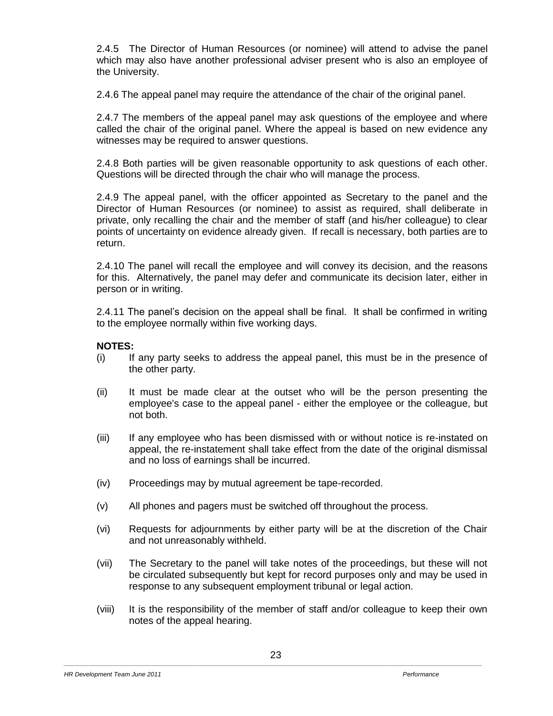2.4.5 The Director of Human Resources (or nominee) will attend to advise the panel which may also have another professional adviser present who is also an employee of the University.

2.4.6 The appeal panel may require the attendance of the chair of the original panel.

2.4.7 The members of the appeal panel may ask questions of the employee and where called the chair of the original panel. Where the appeal is based on new evidence any witnesses may be required to answer questions.

2.4.8 Both parties will be given reasonable opportunity to ask questions of each other. Questions will be directed through the chair who will manage the process.

2.4.9 The appeal panel, with the officer appointed as Secretary to the panel and the Director of Human Resources (or nominee) to assist as required, shall deliberate in private, only recalling the chair and the member of staff (and his/her colleague) to clear points of uncertainty on evidence already given. If recall is necessary, both parties are to return.

2.4.10 The panel will recall the employee and will convey its decision, and the reasons for this. Alternatively, the panel may defer and communicate its decision later, either in person or in writing.

2.4.11 The panel's decision on the appeal shall be final. It shall be confirmed in writing to the employee normally within five working days.

#### **NOTES:**

- (i) If any party seeks to address the appeal panel, this must be in the presence of the other party.
- (ii) It must be made clear at the outset who will be the person presenting the employee's case to the appeal panel - either the employee or the colleague, but not both.
- (iii) If any employee who has been dismissed with or without notice is re-instated on appeal, the re-instatement shall take effect from the date of the original dismissal and no loss of earnings shall be incurred.
- (iv) Proceedings may by mutual agreement be tape-recorded.
- (v) All phones and pagers must be switched off throughout the process.
- (vi) Requests for adjournments by either party will be at the discretion of the Chair and not unreasonably withheld.
- (vii) The Secretary to the panel will take notes of the proceedings, but these will not be circulated subsequently but kept for record purposes only and may be used in response to any subsequent employment tribunal or legal action.
- (viii) It is the responsibility of the member of staff and/or colleague to keep their own notes of the appeal hearing.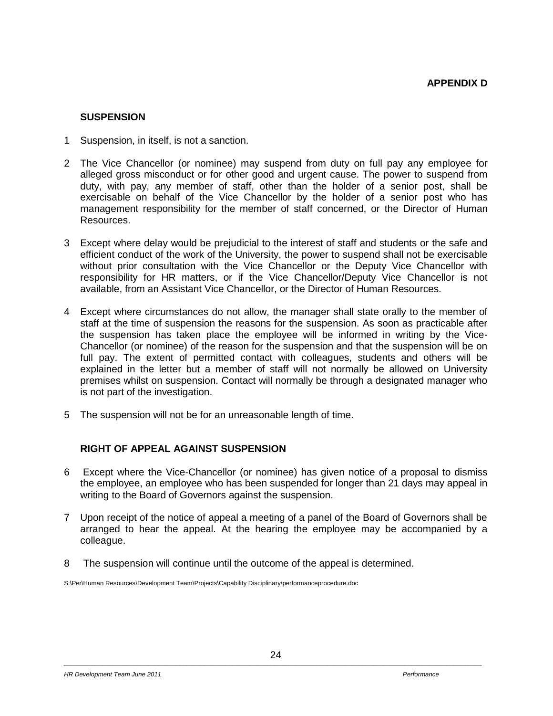#### **SUSPENSION**

- 1 Suspension, in itself, is not a sanction.
- 2 The Vice Chancellor (or nominee) may suspend from duty on full pay any employee for alleged gross misconduct or for other good and urgent cause. The power to suspend from duty, with pay, any member of staff, other than the holder of a senior post, shall be exercisable on behalf of the Vice Chancellor by the holder of a senior post who has management responsibility for the member of staff concerned, or the Director of Human Resources.
- 3 Except where delay would be prejudicial to the interest of staff and students or the safe and efficient conduct of the work of the University, the power to suspend shall not be exercisable without prior consultation with the Vice Chancellor or the Deputy Vice Chancellor with responsibility for HR matters, or if the Vice Chancellor/Deputy Vice Chancellor is not available, from an Assistant Vice Chancellor, or the Director of Human Resources.
- 4 Except where circumstances do not allow, the manager shall state orally to the member of staff at the time of suspension the reasons for the suspension. As soon as practicable after the suspension has taken place the employee will be informed in writing by the Vice-Chancellor (or nominee) of the reason for the suspension and that the suspension will be on full pay. The extent of permitted contact with colleagues, students and others will be explained in the letter but a member of staff will not normally be allowed on University premises whilst on suspension. Contact will normally be through a designated manager who is not part of the investigation.
- 5 The suspension will not be for an unreasonable length of time.

## **RIGHT OF APPEAL AGAINST SUSPENSION**

- 6 Except where the Vice-Chancellor (or nominee) has given notice of a proposal to dismiss the employee, an employee who has been suspended for longer than 21 days may appeal in writing to the Board of Governors against the suspension.
- 7 Upon receipt of the notice of appeal a meeting of a panel of the Board of Governors shall be arranged to hear the appeal. At the hearing the employee may be accompanied by a colleague.
- 8 The suspension will continue until the outcome of the appeal is determined.

S:\Per\Human Resources\Development Team\Projects\Capability Disciplinary\performanceprocedure.doc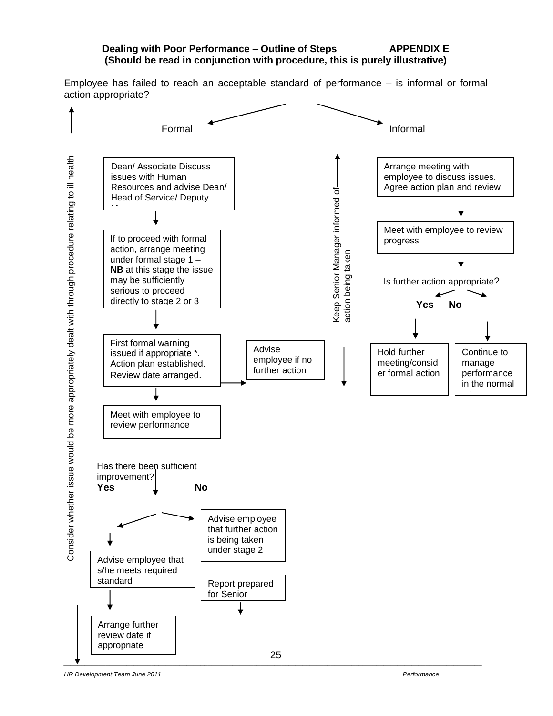#### **Dealing with Poor Performance – Outline of Steps APPENDIX E (Should be read in conjunction with procedure, this is purely illustrative)**

Employee has failed to reach an acceptable standard of performance – is informal or formal action appropriate?



Consider whether issue would be more appropriately dealt with through procedure relating to ill health Consider whether issue would be more appropriately dealt with through procedure relating to ill health